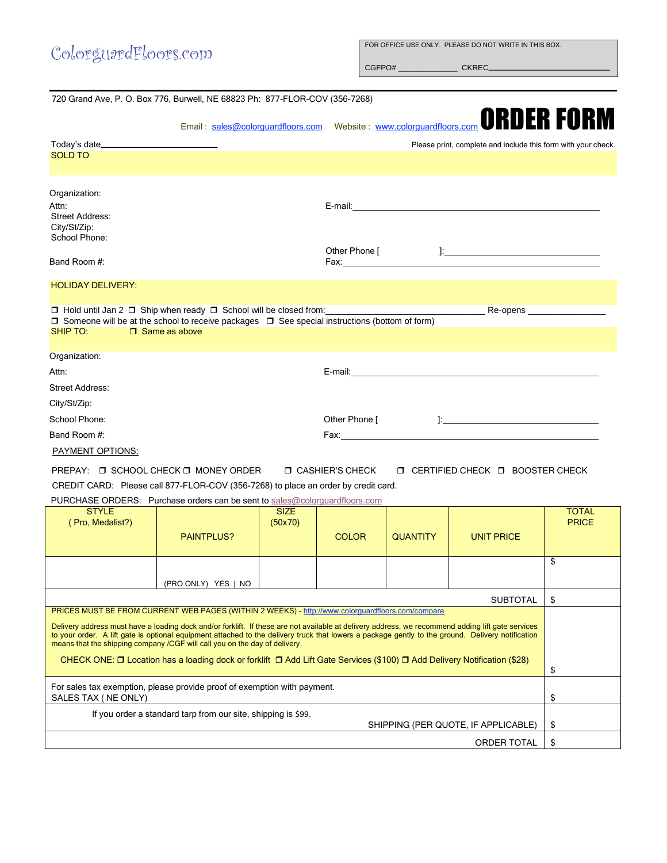| ColorguardFloors.com                                                                                                                  | FOR OFFICE USE ONLY. PLEASE DO NOT WRITE IN THIS BOX.                                                                 |
|---------------------------------------------------------------------------------------------------------------------------------------|-----------------------------------------------------------------------------------------------------------------------|
| 720 Grand Ave, P. O. Box 776, Burwell, NE 68823 Ph: 877-FLOR-COV (356-7268)                                                           |                                                                                                                       |
|                                                                                                                                       | Email: <u>sales@colorguardfloors.com</u> Website: www.colorguardfloors.com <b>ORDER FORM</b>                          |
|                                                                                                                                       | Please print, complete and include this form with your check.                                                         |
| <b>SOLD TO</b>                                                                                                                        |                                                                                                                       |
| Organization:                                                                                                                         |                                                                                                                       |
| Attn:<br><b>Street Address:</b><br>City/St/Zip:<br>School Phone:                                                                      |                                                                                                                       |
| Band Room #:                                                                                                                          | Other Phone [                                                                                                         |
| <b>HOLIDAY DELIVERY:</b>                                                                                                              |                                                                                                                       |
| $\Box$ Someone will be at the school to receive packages $\Box$ See special instructions (bottom of form)<br>SHIP TO: □ Same as above | □ Hold until Jan 2 □ Ship when ready □ School will be closed from: National Comments and Re-opens National Re-opens   |
| Organization:                                                                                                                         |                                                                                                                       |
| Attn:                                                                                                                                 |                                                                                                                       |
| <b>Street Address:</b>                                                                                                                |                                                                                                                       |
| City/St/Zip:                                                                                                                          |                                                                                                                       |
| School Phone:                                                                                                                         |                                                                                                                       |
| Band Room #:                                                                                                                          | Fax: <b>Executive Service Service Service Service</b> Service Service Service Service Service Service Service Service |
| PAYMENT OPTIONS:                                                                                                                      |                                                                                                                       |
| PREPAY · □ SCHOOL CHECK □ MONEY ORDER                                                                                                 | $\Box$ CASHIER'S CHECK $\Box$ CERTIFIED CHECK $\Box$ BOOSTER CHECK.                                                   |

PREPAY: □ SCHOOL CHECK □ MONEY ORDER □ CASHIER'S CHECK □ CERTIFIED CHECK □ BOOSTER CHECK CREDIT CARD: Please call 877-FLOR-COV (356-7268) to place an order by credit card.

PURCHASE ORDERS: Purchase orders can be sent t[o sales@colorguardfloors.com](mailto:sales@colorguardfloors.com?subject=Purchase%20Order)

| <b>STYLE</b><br>(Pro, Medalist?)                                                                                                                                                                                                                                                                                                                                                                                                                                                                                                                                                                                                    | <b>PAINTPLUS?</b>   | <b>SIZE</b><br>(50x70) | <b>COLOR</b> | <b>QUANTITY</b> | <b>UNIT PRICE</b> | <b>TOTAL</b><br><b>PRICE</b> |
|-------------------------------------------------------------------------------------------------------------------------------------------------------------------------------------------------------------------------------------------------------------------------------------------------------------------------------------------------------------------------------------------------------------------------------------------------------------------------------------------------------------------------------------------------------------------------------------------------------------------------------------|---------------------|------------------------|--------------|-----------------|-------------------|------------------------------|
|                                                                                                                                                                                                                                                                                                                                                                                                                                                                                                                                                                                                                                     | (PRO ONLY) YES   NO |                        |              |                 |                   | \$                           |
| <b>SUBTOTAL</b>                                                                                                                                                                                                                                                                                                                                                                                                                                                                                                                                                                                                                     |                     |                        |              |                 |                   |                              |
| PRICES MUST BE FROM CURRENT WEB PAGES (WITHIN 2 WEEKS) - http://www.colorguardfloors.com/compare<br>Delivery address must have a loading dock and/or forklift. If these are not available at delivery address, we recommend adding lift gate services<br>to your order. A lift gate is optional equipment attached to the delivery truck that lowers a package gently to the ground. Delivery notification<br>means that the shipping company /CGF will call you on the day of delivery.<br>CHECK ONE: $\Box$ Location has a loading dock or forklift $\Box$ Add Lift Gate Services (\$100) $\Box$ Add Delivery Notification (\$28) |                     |                        |              |                 |                   |                              |
| For sales tax exemption, please provide proof of exemption with payment.<br>SALES TAX (NE ONLY)                                                                                                                                                                                                                                                                                                                                                                                                                                                                                                                                     |                     |                        |              |                 |                   |                              |
| If you order a standard tarp from our site, shipping is \$99.<br>SHIPPING (PER QUOTE, IF APPLICABLE)                                                                                                                                                                                                                                                                                                                                                                                                                                                                                                                                |                     |                        |              |                 |                   |                              |
| ORDER TOTAL                                                                                                                                                                                                                                                                                                                                                                                                                                                                                                                                                                                                                         |                     |                        |              |                 |                   |                              |